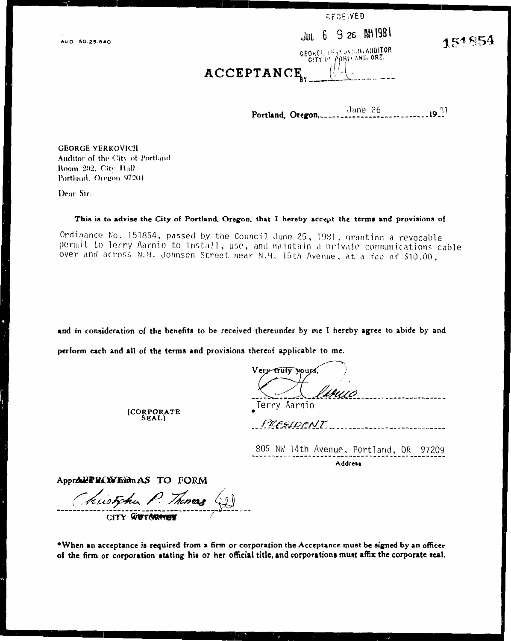AUD 50-25-640

| RECEIVED |
|----------|
|----------|

# JUL 6 9 26 AM 1981

GEORGE LESSONICH, AUDITOR  $C(TY)$  of  $f(P|P)$  cand, ORE.

151854

### ACCEPTANCE

June 26  $-19.21$ Portland, Oregon,.

**GEORGE YERKOVICH** Auditor of the City of Portland. Room 202, City Hall Portland, Oregon 97204

Dear Sir:

#### This is to advise the City of Portland, Oregon, that I hereby accept the terms and provisions of

Ordinance No. 151854, passed by the Council June 25, 1981, granting a revocable permit to lerry Aarnio to install, use, and maintain a private communications cable over and across N.W. Johnson Street near N.M. 15th Avenue, at a fee of \$10.00,

and in consideration of the benefits to be received thereunder by me I hereby agree to abide by and

perform each and all of the terms and provisions thereof applicable to me.

Very truly your Terry Aarnio

[CORPORATE<br>SEAL]

| PRESIDENT |  |
|-----------|--|
|-----------|--|

805 NW 14th Avenue, Portland, UK 97ZU9 Address

Appr**e PRIX Form** AS TO FORM

hustshu P. Thomas

CITY WUTORMER

\*When an acceptance is required from a firm or corporation the Acceptance must be signed by an officer of the firm or corporation stating his or her official title, and corporations must athx the corporate seal.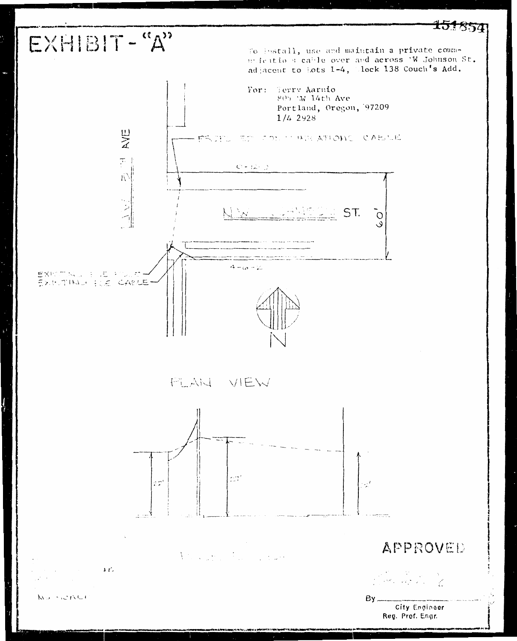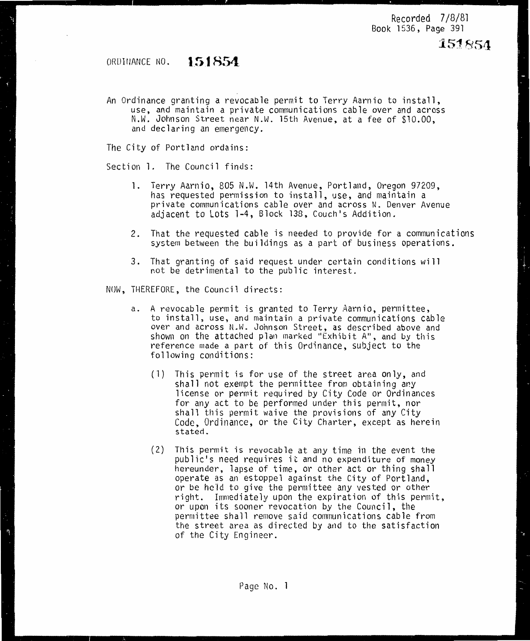### ORDirJANCE NO. **151854**

An Ordinance granting a revocable permit to Terry Aarnio to install, use, and maintain a private communications cable over and across N.W. Johnson Street near N.W. 15th Avenue, at a fee of \$10.00, and declaring an emergency.

The City of Portland ordains:

Section 1. The Council finds:

- **1.** Terry Aarnio, 805 N.W. 14th Avenue, Portland, Oregon 97209, has requested permission to install, use, and maintain a<br>private communications cable over and across N. Denver Avenue adjacent to Lots 1-4, Block 138, Couch's Addition.
- 2. That the requested cable is needed to provide for a communications system between the buildings as a part of business operations.
- 3. That granting of said request under certain conditions will not be detrimental to the public interest.
- NOW, THEREFORE, the Council directs:
	- a. <sup>A</sup>revocable permit is granted to Terry Aarnio, permittee, to install, use, and maintain a private communications cable over and across N.W. Johnson Street, as described above and shown on the attached plan marked "Exhibit A", and by this reference made a part of this Ordinance, subject to the following conditions:
		- (1) This permit is for use of the street area only, and shall not exempt the permittee from obtaining any license or permit required by City Code or Ordinances for any act to be performed under this permit, nor shall this permit waive the provisions of any City<br>Code, Ordinance, or the City Charter, except as herein stated.
		- (2) This permit is revocable at any time in the event the public's need requires it and no expenditure of money hereunder, lapse of time, or other act or thing shall operate as an estoppel against the City of Portland, or be held to give the permittee any vested or other right. Immediately upon the expiration of this permit, or upon its sooner revocation by the Council, the permittee shall remove said communications cable from the street area as directed by and to the satisfaction of the City Engineer.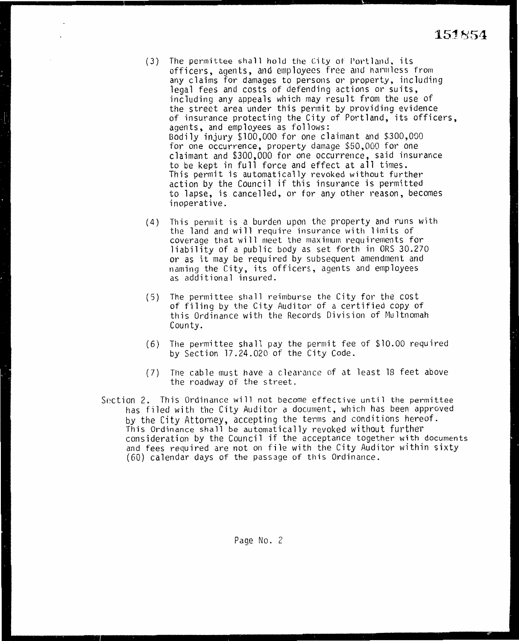( 3) The permit tee sha **11** ho **1** d the City of Port **1** and. its officers, agents, and employees free and 11armlcss from any claims for damages to persons or property, including legal fees and costs of defending actions or suits, including any appeals which may result from the use of the street area under this permit by providing evidence of insurance protecting the City of Portland, its officers, agents, and employees as follows: Bodily injury \$100,000 for one claimant and \$300,000 for one occurrence, property damage \$50,000 for one claimant and \$300,000 for one occurrence, said insurance<br>to be kept in full force and effect at all times. This permit is automatically revoked without further action by the Council if this insurance is permitted to lapse, is cancelled, or for any other reason, becomes inoperative.

 $\cdot$ 

- (4) This permit is a burden upon the property and runs with the land and will require insurance with limits of coverage that will meet the maximum requirements for liability of a public body as set forth in ORS 30.270 or as it may be required by subsequent amendment and naming the City, its officers, agents and employees as additional insured.
- (5) The perrnittee shall reimburse the City for the cost of filing by the City Auditor of a certified copy of this Ordinance with the Records Division of Multnomah County.
- (6) The permittee sha11 pay the permit fee of \$10.00 required by Section 17.24.020 of the City Code.
- (7) The cable must have a clearance of at least 18 feet above the roadway of the street.
- Section 2. This Ordinance will not become effective until the permittee has filed with the City Auditor a document, which has been approved by the City Attorney, accepting the terms and conditions hereof. This Ordinance shall be automatically revoked without further consideration by the Council if the acceptance together with documents and fees required are not on file with the City Auditor within sixty (60) calendar days of the passage of this Ordinance.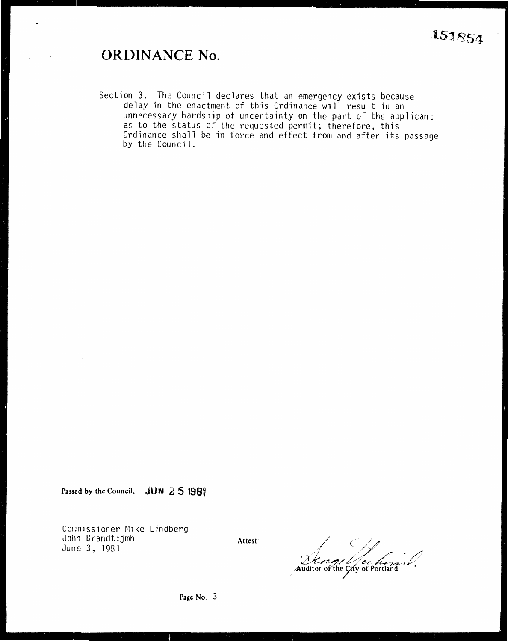### **ORDINANCE No.**

 $\bullet$ 

Section 3. The Council declares that an emergency exists because delay in the enactment of this Ordinance will result in an unnecessary hardship of uncertainty on the part of the applicant as to the status of the requested permit; therefore, this Ordinance shall be in force and effect from and after its passage by the Council.

Passed by the Council,  $JUN \geq 5$  1981

Commissioner Mike Lindberg Jolin Brandt :jmh Ju11e 3, 1981

Attest:  $\frac{1}{2}$ <br>Auditor of the Gity of Portland